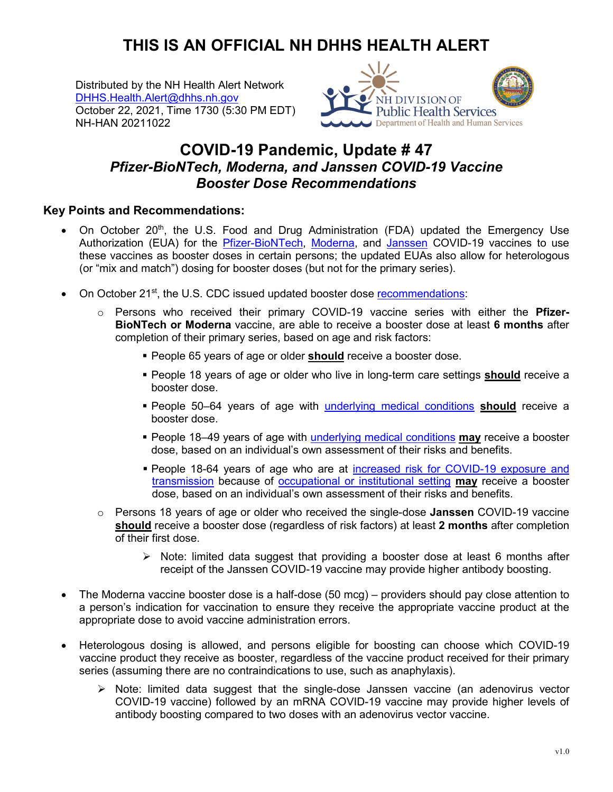## **THIS IS AN OFFICIAL NH DHHS HEALTH ALERT**

Distributed by the NH Health Alert Network [DHHS.Health.Alert@dhhs.nh.gov](mailto:DHHS.Health.Alert@dhhs.nh.gov) October 22, 2021, Time 1730 (5:30 PM EDT) NH-HAN 20211022



## **COVID-19 Pandemic, Update # 47** *Pfizer-BioNTech, Moderna, and Janssen COVID-19 Vaccine Booster Dose Recommendations*

## **Key Points and Recommendations:**

- On October 20<sup>th</sup>, the U.S. Food and Drug Administration (FDA) updated the Emergency Use Authorization (EUA) for the [Pfizer-BioNTech,](https://www.fda.gov/emergency-preparedness-and-response/coronavirus-disease-2019-covid-19/comirnaty-and-pfizer-biontech-covid-19-vaccine) [Moderna,](https://www.fda.gov/emergency-preparedness-and-response/coronavirus-disease-2019-covid-19/moderna-covid-19-vaccine) and [Janssen](https://www.fda.gov/emergency-preparedness-and-response/coronavirus-disease-2019-covid-19/janssen-covid-19-vaccine) COVID-19 vaccines to use these vaccines as booster doses in certain persons; the updated EUAs also allow for heterologous (or "mix and match") dosing for booster doses (but not for the primary series).
- On October 21<sup>st</sup>, the U.S. CDC issued updated booster dose [recommendations:](https://www.cdc.gov/media/releases/2021/p1021-covid-booster.html)
	- o Persons who received their primary COVID-19 vaccine series with either the **Pfizer-BioNTech or Moderna** vaccine, are able to receive a booster dose at least **6 months** after completion of their primary series, based on age and risk factors:
		- **People 65 years of age or older should receive a booster dose.**
		- **People 18 years of age or older who live in long-term care settings <b>should** receive a booster dose.
		- People 50–64 years of age with [underlying medical conditions](https://www.cdc.gov/coronavirus/2019-ncov/need-extra-precautions/people-with-medical-conditions.html) **should** receive a booster dose.
		- People 18–49 years of age with [underlying medical conditions](https://www.cdc.gov/coronavirus/2019-ncov/need-extra-precautions/people-with-medical-conditions.html) **may** receive a booster dose, based on an individual's own assessment of their risks and benefits.
		- People 18-64 years of age who are at [increased risk for COVID-19 exposure and](https://www.cdc.gov/coronavirus/2019-ncov/vaccines/booster-shot.html#HighRisk)  [transmission](https://www.cdc.gov/coronavirus/2019-ncov/vaccines/booster-shot.html#HighRisk) because of [occupational or institutional setting](https://www.cdc.gov/vaccines/covid-19/clinical-considerations/essential-workers-boosters.html) **may** receive a booster dose, based on an individual's own assessment of their risks and benefits.
	- o Persons 18 years of age or older who received the single-dose **Janssen** COVID-19 vaccine **should** receive a booster dose (regardless of risk factors) at least **2 months** after completion of their first dose.
		- $\triangleright$  Note: limited data suggest that providing a booster dose at least 6 months after receipt of the Janssen COVID-19 vaccine may provide higher antibody boosting.
- The Moderna vaccine booster dose is a half-dose (50 mcg) providers should pay close attention to a person's indication for vaccination to ensure they receive the appropriate vaccine product at the appropriate dose to avoid vaccine administration errors.
- Heterologous dosing is allowed, and persons eligible for boosting can choose which COVID-19 vaccine product they receive as booster, regardless of the vaccine product received for their primary series (assuming there are no contraindications to use, such as anaphylaxis).
	- $\triangleright$  Note: limited data suggest that the single-dose Janssen vaccine (an adenovirus vector COVID-19 vaccine) followed by an mRNA COVID-19 vaccine may provide higher levels of antibody boosting compared to two doses with an adenovirus vector vaccine.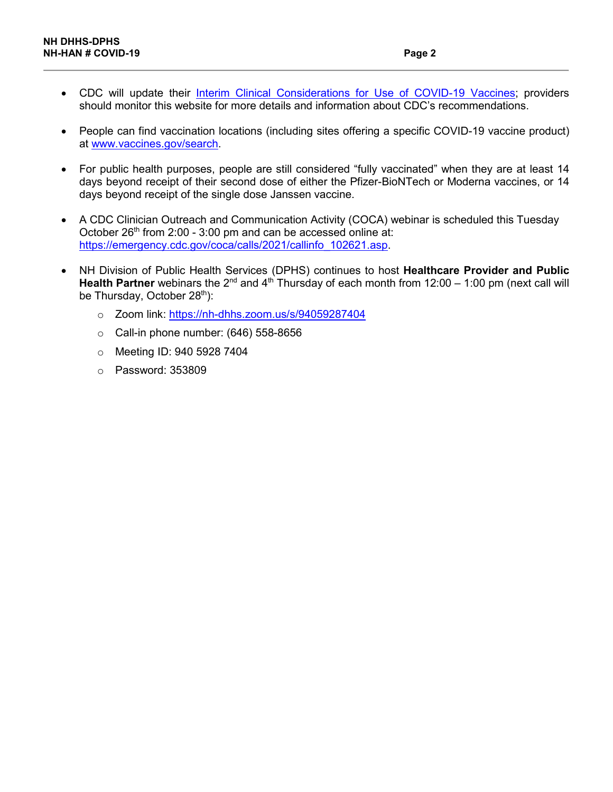- CDC will update their [Interim Clinical Considerations for Use of COVID-19 Vaccines;](https://www.cdc.gov/vaccines/covid-19/clinical-considerations/covid-19-vaccines-us.html) providers should monitor this website for more details and information about CDC's recommendations.
- People can find vaccination locations (including sites offering a specific COVID-19 vaccine product) at [www.vaccines.gov/search.](http://www.vaccines.gov/search)
- For public health purposes, people are still considered "fully vaccinated" when they are at least 14 days beyond receipt of their second dose of either the Pfizer-BioNTech or Moderna vaccines, or 14 days beyond receipt of the single dose Janssen vaccine.
- A CDC Clinician Outreach and Communication Activity (COCA) webinar is scheduled this Tuesday October 26<sup>th</sup> from 2:00 - 3:00 pm and can be accessed online at: [https://emergency.cdc.gov/coca/calls/2021/callinfo\\_102621.asp.](https://emergency.cdc.gov/coca/calls/2021/callinfo_102621.asp)
- NH Division of Public Health Services (DPHS) continues to host **Healthcare Provider and Public Health Partner** webinars the 2<sup>nd</sup> and 4<sup>th</sup> Thursday of each month from 12:00 – 1:00 pm (next call will be Thursday, October 28<sup>th</sup>):
	- o Zoom link:<https://nh-dhhs.zoom.us/s/94059287404>
	- $\circ$  Call-in phone number: (646) 558-8656
	- o Meeting ID: 940 5928 7404
	- o Password: 353809